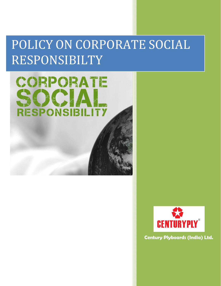# POLICY ON CORPORATE SOCIAL RESPONSIBILTY





**Century Plyboards (India) Ltd.**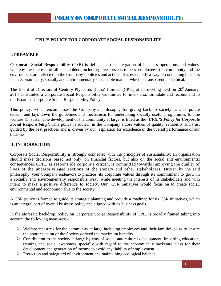## **CPIL'S POLICY FOR CORPORATE SOCIAL RESPONSIBILITY**

#### **I. PREAMBLE**

**Corporate Social Responsibility** (CSR) is defined as the integration of business operations and values, whereby the interests of all stakeholders including investors, customers, employees, the community and the environment are reflected in the Company's policies and actions. It is essentially a way of conducting business in an economically, socially and environmentally sustainable manner which is transparent and ethical.

The Board of Directors of Century Plyboards (India) Limited (CPIL) at its meeting held on 20<sup>th</sup> January, 2014 constituted a Corporate Social Responsibility Committee to, inter- alia, formulate and recommend to the Board a Corporate Social Responsibility Policy.

This policy, which encompasses the Company's philosophy for giving back to society as a corporate citizen and lays down the guidelines and mechanism for undertaking socially useful programmes for the welfare & sustainable development of the community at large, is titled as the *'CPIL'S Policy for Corporate Social Responsibility'.* This policy is rooted in the Company's core values of quality, reliability and trust guided by the best practices and is driven by our aspiration for excellence in the overall performance of our business.

#### **II. INTRODUCTION**

Corporate Social Responsibility is strongly connected with the principles of sustainability; an organization should make decisions based not only on financial factors, but also on the social and environmental consequences. CPIL, as responsible corporate citizen, is committed towards improving the quality of lives of the underprivileged sections of the society and other stakeholders. Driven by the said philosophy, your Company endeavors to practice its corporate values through its commitment to grow in a socially and environmentally responsible way, while meeting the interests of its stakeholders and with intent to make a positive difference to society. Our CSR initiatives would focus on to create social, environmental and economic value to the society.

A CSR policy is framed to guide its strategic planning and provide a roadmap for its CSR initiatives, which is an integral part of overall business policy and aligned with its business goals.

In the aforesaid backdrop, policy on Corporate Social Responsibility of CPIL is broadly framed taking into account the following measures: -

- $\triangleright$  Welfare measures for the community at large including employees and their families, so as to ensure the poorer section of the Society derived the maximum benefits.
- $\triangleright$  Contribution to the society at large by way of social and cultural development, imparting education, training and social awareness specially with regard to the economically backward class for their development and generation of income to avoid any liability of employment.
- Protection and safeguard of environment and maintaining ecological balance.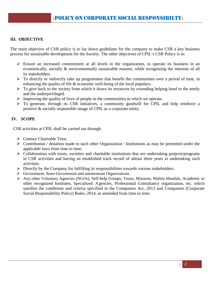# **III. OBJECTIVE**

The main objective of CSR policy is to lay down guidelines for the company to make CSR a key business process for sustainable development for the Society. The other objectives of CPIL's CSR Policy is to:

- $\triangleright$  Ensure an increased commitment at all levels in the organization, to operate its business in an economically, socially & environmentally sustainable manner, while recognizing the interests of all its stakeholders.
- $\triangleright$  To directly or indirectly take up programmes that benefit the communities over a period of time, in enhancing the quality of life  $\&$  economic well-being of the local populace.
- $\triangleright$  To give back to the society from which it draws its resources by extending helping hand to the needy and the underprivileged.
- $\triangleright$  Improving the quality of lives of people in the communities in which we operate.
- To generate, through its CSR initiatives, a community goodwill for CPIL and help reinforce a positive & socially responsible image of CPIL as a corporate entity.

## **IV. SCOPE**

CSR activities at CPIL shall be carried out through

- $\triangleright$  Century Charitable Trust.
- $\triangleright$  Contribution / donation made to such other Organization / Institutions as may be permitted under the applicable laws from time to time.
- $\triangleright$  Collaboration with trusts, societies and charitable institutions that are undertaking projects/programs in CSR activities and having an established track record of atleast three years in undertaking such activities.
- Directly by the Company for fulfilling its responsibilities towards various stakeholders.
- Government, Semi‐Government and autonomous Organizations.
- Any other Voluntary Agencies (NGOs), Self‐help Groups, Trusts, Missions, Mahila Mandals, Academic or other recognized Institutes, Specialized Agencies, Professional Consultancy organization, etc. which satisfies the conditions and criteria specified in the Companies Act, 2013 and Companies (Corporate Social Responsibility Policy) Rules, 2014, as amended from time to time.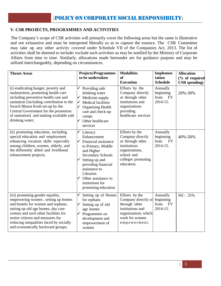## **V. CSR PROJECTS, PROGRAMMES AND ACTIVITIES**

The Company's scope of CSR activities will primarily cover the following areas but the same is illustrative and not exhaustive and must be interpreted liberally so as to capture the essence. The CSR Committee may take up any other activity covered under Schedule VII of the Companies Act, 2013. The list of activities shall be deemed to include/ exclude such activities as may be notified by the Ministry of Corporate Affairs from time to time. Similarly, allocations made hereunder are for guidance purpose and may be utilised interchangeably, depending on circumstances.

| <b>Thrust Areas</b>                                                                                                                                                                                                                                                                                             | <b>Projects/Programmes</b>                                                                                                                                                                                                                               | <b>Modalities</b>                                                                                                                          | Implemen-                                              | <b>Allocation</b>    |
|-----------------------------------------------------------------------------------------------------------------------------------------------------------------------------------------------------------------------------------------------------------------------------------------------------------------|----------------------------------------------------------------------------------------------------------------------------------------------------------------------------------------------------------------------------------------------------------|--------------------------------------------------------------------------------------------------------------------------------------------|--------------------------------------------------------|----------------------|
|                                                                                                                                                                                                                                                                                                                 | to be undertaken                                                                                                                                                                                                                                         | <b>of</b>                                                                                                                                  | tation                                                 | (% of required       |
|                                                                                                                                                                                                                                                                                                                 |                                                                                                                                                                                                                                                          | <b>Execution</b>                                                                                                                           | <b>Schedule</b>                                        | <b>CSR</b> spending) |
| (i) eradicating hunger, poverty and<br>malnutrition, promoting health care<br>including preventive health care and<br>sanitation [including contribution to the<br>Swach Bharat Kosh set-up by the<br>Central Government for the promotion<br>of sanitation] and making available safe<br>drinking water;       | Providing safe<br>drinking water<br>Medicine supply<br>∨<br>Medical facilities<br>√<br>$\checkmark$<br><b>Organising Health</b><br>care and check-up<br>camps<br>Other healthcare<br>services                                                            | Efforts by the<br>Company directly<br>or through other<br>institutions and<br>organizations<br>providing<br>healthcare services            | Annually<br>beginning<br>from<br><b>FY</b><br>2014-15. | 20%-30%              |
| (ii) promoting education, including<br>special education and employment<br>enhancing vocation skills especially<br>among children, women, elderly, and<br>the differently abled and livelihood<br>enhancement projects;                                                                                         | Literacy<br>Enhancement<br>Financial assistance<br>to Primary, Middle<br>and Higher<br><b>Secondary Schools</b><br>Setting up and<br>providing financial<br>assistance to<br>Libraries<br>Other assistance to<br>institutions for<br>promoting education | Efforts by the<br>Company directly<br>or through other<br>institutions<br>organizations,<br>school and<br>colleges promoting<br>education. | Annually<br>beginning<br>from<br><b>FY</b><br>2014-15. | 40%-50%              |
| (iii) promoting gender equality,<br>empowering women, setting up homes<br>and hostels for women and orphans;<br>setting up old age homes, day care<br>centres and such other facilities for<br>senior citizens and measures for<br>reducing inequalities faced by socially<br>and economically backward groups; | Setting up of Homes<br>for orphans<br>Setting up of old<br>age homes<br>Programmes on<br>development and<br>empowerment of<br>women                                                                                                                      | Efforts by the<br>Company directly or<br>through other<br>institutions and<br>organizations which<br>work for women<br>empowerment.        | Annually<br>beginning<br>from<br><b>FY</b><br>2014-15. | Nil - 25%            |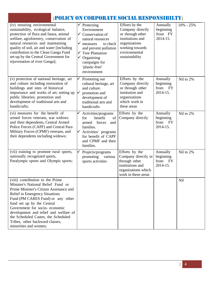# **[**POLICY ON CORPORATE SOCIAL RESPONSIBILTY**]**

| (iv) ensuring environmental<br>sustainability, ecological balance,<br>protection of flora and fauna, animal<br>welfare, agroforestry, conservation of<br>natural resources and maintaining<br>quality of soil, air and water [including<br>contribution to the Clean Ganga Fund<br>set-up by the Central Government for<br>rejuvenation of river Ganga];                                                   |              | Protecting<br>Environment<br>$\checkmark$ Conservation of<br>natural resources<br>$\checkmark$ measures<br>to check<br>and prevent pollution<br>$\sqrt{\ }$ Tree Plantation<br>$\checkmark$ Organising<br>campaigns for<br>'plastic-free'<br>environment | Efforts by the<br>Company directly<br>or through other<br>institutions and<br>organizations<br>working towards<br>environmental<br>sustainability | Annually<br>beginning<br>from FY<br>2014-15.    | 10% - 25% |
|------------------------------------------------------------------------------------------------------------------------------------------------------------------------------------------------------------------------------------------------------------------------------------------------------------------------------------------------------------------------------------------------------------|--------------|----------------------------------------------------------------------------------------------------------------------------------------------------------------------------------------------------------------------------------------------------------|---------------------------------------------------------------------------------------------------------------------------------------------------|-------------------------------------------------|-----------|
| (v) protection of national heritage, art<br>and culture including restoration of<br>buildings and sites of historical<br>importance and works of art; setting up<br>public libraries; promotion and<br>development of traditional arts and<br>handicrafts;                                                                                                                                                 | $\checkmark$ | Promoting our<br>cultural heritage, art<br>and culture.<br>promotion and<br>development of<br>traditional arts and<br>handicrafts                                                                                                                        | Efforts by the<br>Company directly<br>or through other<br>institution and<br>organizations<br>which work in<br>these areas                        | Annually<br>beginning<br>from<br>FY<br>2014-15. | Nil to 2% |
| (vi) measures for the benefit of<br>armed forces veterans, war widows<br>and their dependents, Central Armed<br>Police Forces (CAPF) and Central Para<br>Military Forces (CPMF) veterans, and<br>their dependents including widows;                                                                                                                                                                        |              | Activities/programs<br>benefit<br>of<br>for<br>forces<br>armed<br>and<br>families.<br>$\checkmark$ Activities/ programs<br>for benefit of CAPF<br>and CPMF and their<br>families.                                                                        | Efforts by the<br>Company directly                                                                                                                | Annually<br>beginning<br>from<br>FY<br>2014-15. | Nil to 2% |
| (vii) training to promote rural sports,<br>nationally recognized sports,<br>Paralympic sports and Olympic sports;                                                                                                                                                                                                                                                                                          |              | Projects/programs<br>promoting<br>various<br>sports activities                                                                                                                                                                                           | Efforts by the<br>Company directly or<br>through other<br>institutions and<br>organizations which<br>work in these areas                          | Annually<br>beginning<br>from<br>FY<br>2014-15. | Nil to 2% |
| (viii) contribution to the Prime<br>Minister's National Relief Fund or<br>Prime Minister's Citizen Assistance and<br><b>Relief in Emergency Situations</b><br>Fund (PM CARES Fund) or any other<br>fund set up by the Central<br>Government for socio-economic<br>development and relief and welfare of<br>the Scheduled Castes, the Scheduled<br>Tribes, other backward classes,<br>minorities and women; |              |                                                                                                                                                                                                                                                          |                                                                                                                                                   |                                                 | Nil       |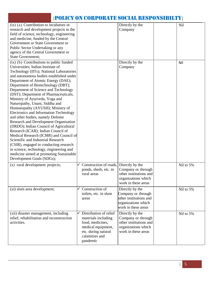# **[**POLICY ON CORPORATE SOCIAL RESPONSIBILTY**]**

| (ix) (a) Contribution to incubators or        |                        | Directly by the        | Nil       |
|-----------------------------------------------|------------------------|------------------------|-----------|
| research and development projects in the      |                        | Company                |           |
| field of science, technology, engineering     |                        |                        |           |
| and medicine, funded by the Central           |                        |                        |           |
| Government or State Government or             |                        |                        |           |
| Public Sector Undertaking or any              |                        |                        |           |
| agency of the Central Government or           |                        |                        |           |
| <b>State Government;</b>                      |                        |                        |           |
|                                               |                        | Directly by the        |           |
| (ix) (b) Contributions to public funded       |                        |                        | Nil       |
| Universities; Indian Institute of             |                        | Company                |           |
| Technology (IITs); National Laboratories      |                        |                        |           |
| and autonomous bodies established under       |                        |                        |           |
| Department of Atomic Energy (DAE);            |                        |                        |           |
| Department of Biotechnology (DBT);            |                        |                        |           |
| Department of Science and Technology          |                        |                        |           |
| (DST); Department of Pharmaceuticals;         |                        |                        |           |
| Ministry of Ayurveda, Yoga and                |                        |                        |           |
| Naturopathy, Unani, Siddha and                |                        |                        |           |
| Homoeopathy (AYUSH); Ministry of              |                        |                        |           |
| <b>Electronics and Information Technology</b> |                        |                        |           |
| and other bodies, namely Defense              |                        |                        |           |
| Research and Development Organisation         |                        |                        |           |
| (DRDO); Indian Council of Agricultural        |                        |                        |           |
| Research (ICAR); Indian Council of            |                        |                        |           |
| Medical Research (ICMR) and Council of        |                        |                        |           |
| Scientific and Industrial Research            |                        |                        |           |
| (CSIR), engaged in conducting research        |                        |                        |           |
| in science, technology, engineering and       |                        |                        |           |
| medicine aimed at promoting Sustainable       |                        |                        |           |
| Development Goals (SDGs);                     |                        |                        |           |
| (x) rural development projects;               | Construction of roads, | Directly by the        | Nil to 5% |
|                                               | ponds, sheds, etc. in  | Company or through     |           |
|                                               | rural areas            | other institutions and |           |
|                                               |                        | organizations which    |           |
|                                               |                        |                        |           |
|                                               |                        | work in these areas    |           |
| (xi) slum area development;                   | Construction of        | Directly by the        | Nil to 5% |
|                                               | toilets, etc. in slum  | Company or through     |           |
|                                               | areas                  | other institutions and |           |
|                                               |                        | organizations which    |           |
|                                               |                        | work in these areas    |           |
| (xii) disaster management, including          | Distribution of relief | Directly by the        | Nil to 5% |
| relief, rehabilitation and reconstruction     | materials including    | Company or through     |           |
| activities.                                   | food, medicines,       | other institutions and |           |
|                                               | medical equipment,     | organizations which    |           |
|                                               | etc. during natural    | work in these areas    |           |
|                                               | calamities and         |                        |           |
|                                               | pandemic               |                        |           |
|                                               |                        |                        |           |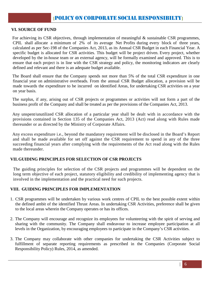#### **VI. SOURCE OF FUND**

For achieving its CSR objectives, through implementation of meaningful & sustainable CSR programmes, CPIL shall allocate a minimum of 2% of its average Net Profits during every block of three years, calculated as per Sec-198 of the Companies Act, 2013, as its Annual CSR Budget in each Financial Year. A specific budget is allocated for CSR activities. This budget will be project driven. Every project, whether developed by the in-house team or an external agency, will be formally examined and approved. This is to ensure that each project is in line with the CSR strategy and policy, the monitoring indicators are clearly defined and relevant and there is an adequate budget available.

The Board shall ensure that the Company spends not more than 5% of the total CSR expenditure in one financial year on administrative overheads. From the annual CSR Budget allocation, a provision will be made towards the expenditure to be incurred on identified Areas, for undertaking CSR activities on a year on year basis.

The surplus, if any, arising out of CSR projects or programmes or activities will not form a part of the business profit of the Company and shall be treated as per the provisions of the Companies Act, 2013.

Any unspent/unutilized CSR allocation of a particular year shall be dealt with in accordance with the provisions contained in Section 135 of the Companies Act, 2013 (Act) read along with Rules made thereunder or as directed by the Ministry of Corporate Affairs.

Any excess expenditure i.e., beyond the mandatory requirement will be disclosed in the Board's Report and shall be made available for set off against the CSR requirement to spend in any of the three succeeding financial years after complying with the requirements of the Act read along with the Rules made thereunder.

#### **VII.GUIDING PRINCIPLES FOR SELECTION OF CSR PROJECTS**

The guiding principles for selection of the CSR projects and programmes will be dependent on the long term objective of each project, statutory eligibility and credibility of implementing agency that is involved in the implementation and the practical need for such projects.

# **VIII. GUIDING PRINCIPLES FOR IMPLEMENTATION**

- 1. CSR programmes will be undertaken by various work centres of CPIL to the best possible extent within the defined ambit of the identified Thrust Areas. In undertaking CSR Activities, preference shall be given to the local areas wherein the Company operates or has its offices.
- 2. The Company will encourage and recognize its employees for volunteering with the spirit of serving and sharing with the community. The Company shall endeavour to increase employee participation at all levels in the Organization, by encouraging employees to participate in the Company's CSR activities.
- 3. The Company may collaborate with other companies for undertaking the CSR Activities subject to fulfillment of separate reporting requirements as prescribed in the Companies (Corporate Social Responsibility Policy) Rules, 2014, as amended.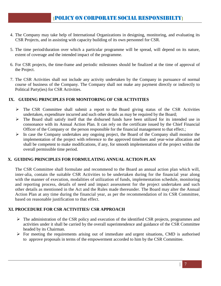- 4. The Company may take help of International Organizations in designing, monitoring, and evaluating its CSR Projects, and in assisting with capacity building of its own personnel for CSR.
- 5. The time period/duration over which a particular programme will be spread, will depend on its nature, extent of coverage and the intended impact of the programme.
- 6. For CSR projects, the time-frame and periodic milestones should be finalized at the time of approval of the Project.
- 7. The CSR Activities shall not include any activity undertaken by the Company in pursuance of normal course of business of the Company. The Company shall not make any payment directly or indirectly to Political Party(ies) for CSR Activities.

## **IX. GUIDING PRINCIPLES FOR MONITORING OF CSR ACTIVITIES**

- The CSR Committee shall submit a report to the Board giving status of the CSR Activities undertaken, expenditure incurred and such other details as may be required by the Board;
- $\triangleright$  The Board shall satisfy itself that the disbursed funds have been utilized for its intended use in consonance with its Annual Action Plan. It can rely on the certificate issued by the Chief Financial Officer of the Company or the person responsible for the financial management to that effect.;
- $\triangleright$  In case the Company undertakes any ongoing project, the Board of the Company shall monitor the implementation of the project with reference to the approved timelines and year-wise allocation and shall be competent to make modifications, if any, for smooth implementation of the project within the overall permissible time period.

## **X. GUIDING PRINCIPLES FOR FORMULATING ANNUAL ACTION PLAN**

The CSR Committee shall formulate and recommend to the Board an annual action plan which will, inter-alia, contain the suitable CSR Activities to be undertaken during for the financial year along with the manner of execution, modalities of utilization of funds, implementation schedule, monitoring and reporting process, details of need and impact assessment for the project undertaken and such other details as mentioned in the Act and the Rules made thereunder. The Board may alter the Annual Action Plan at any time during the financial year, as per the recommendation of its CSR Committee, based on reasonable justification to that effect.

# **XI. PROCEDURE FOR CSR ACTIVITIES/ CSR APPROACH**

- $\triangleright$  The administration of the CSR policy and execution of the identified CSR projects, programmes and activities under it shall be carried by the overall superintendence and guidance of the CSR Committee headed by its Chairman.
- $\triangleright$  For meeting the requirements arising out of immediate and urgent situations, CMD is authorised to approve proposals in terms of the empowerment accorded to him by the CSR Committee.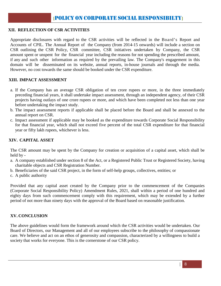# **XII. REFLECTION OF CSR ACTIVITIES**

Appropriate disclosures with regard to the CSR activities will be reflected in the Board's Report and Accounts of CPIL. The Annual Report of the Company (from 2014-15 onwards) will include a section on CSR outlining the CSR Policy, CSR committee, CSR initiatives undertaken by Company, the CSR amount spent or unspent for the financial year including the reasons for not spending the prescribed amount, if any and such other information as required by the prevailing law. The Company's engagement in this domain will be disseminated on its website, annual reports, in-house journals and through the media. However, no cost towards the same should be booked under the CSR expenditure.

#### **XIII. IMPACT ASSESSMENT**

- a. If the Company has an average CSR obligation of ten crore rupees or more, in the three immediately preceding financial years, it shall undertake impact assessment, through an independent agency, of their CSR projects having outlays of one crore rupees or more, and which have been completed not less than one year before undertaking the impact study.
- b. The impact assessment reports if applicable shall be placed before the Board and shall be annexed to the annual report on CSR.
- c. Impact assessment if applicable may be booked as the expenditure towards Corporate Social Responsibility for that financial year, which shall not exceed five percent of the total CSR expenditure for that financial year or fifty lakh rupees, whichever is less.

#### **XIV. CAPITAL ASSET**

The CSR amount may be spent by the Company for creation or acquisition of a capital asset, which shall be held by -

- a. A company established under section 8 of the Act, or a Registered Public Trust or Registered Society, having charitable objects and CSR Registration Number.
- b. Beneficiaries of the said CSR project, in the form of self-help groups, collectives, entities; or
- c. A public authority

Provided that any capital asset created by the Company prior to the commencement of the Companies (Corporate Social Responsibility Policy) Amendment Rules, 2021, shall within a period of one hundred and eighty days from such commencement comply with this requirement, which may be extended by a further period of not more than ninety days with the approval of the Board based on reasonable justification.

#### **XV. CONCLUSION**

The above guidelines would form the framework around which the CSR activities would be undertaken. Our Board of Directors, our Management and all of our employees subscribe to the philosophy of compassionate care. We believe and act on an ethos of generosity and compassion, characterized by a willingness to build a society that works for everyone. This is the cornerstone of our CSR policy.